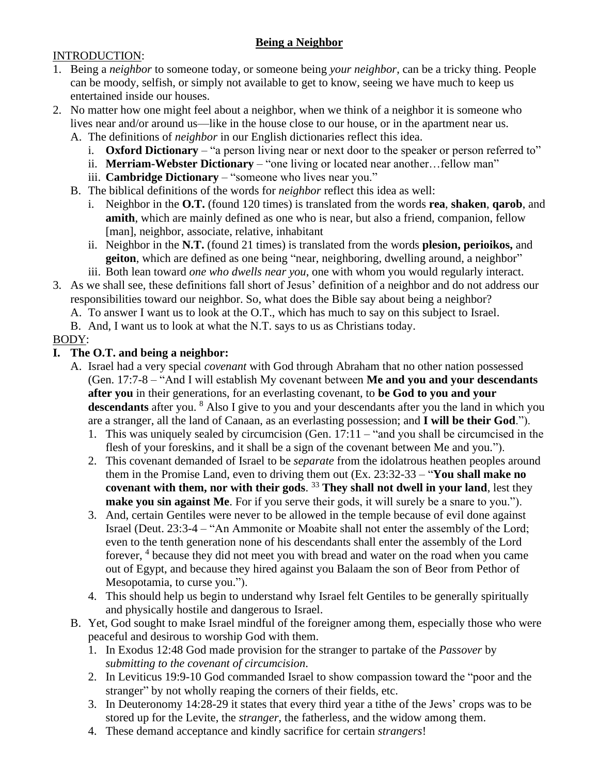### **Being a Neighbor**

#### INTRODUCTION:

- 1. Being a *neighbor* to someone today, or someone being *your neighbor*, can be a tricky thing. People can be moody, selfish, or simply not available to get to know, seeing we have much to keep us entertained inside our houses.
- 2. No matter how one might feel about a neighbor, when we think of a neighbor it is someone who lives near and/or around us—like in the house close to our house, or in the apartment near us.
	- A. The definitions of *neighbor* in our English dictionaries reflect this idea.
		- i. **Oxford Dictionary** "a person living near or next door to the speaker or person referred to"
		- ii. **Merriam-Webster Dictionary** "one living or located near another…fellow man"
		- iii. **Cambridge Dictionary** "someone who lives near you."
	- B. The biblical definitions of the words for *neighbor* reflect this idea as well:
		- i. Neighbor in the **O.T.** (found 120 times) is translated from the words **rea**, **shaken**, **qarob**, and **amith**, which are mainly defined as one who is near, but also a friend, companion, fellow [man], neighbor, associate, relative, inhabitant
		- ii. Neighbor in the **N.T.** (found 21 times) is translated from the words **plesion, perioikos,** and **geiton**, which are defined as one being "near, neighboring, dwelling around, a neighbor"
- iii. Both lean toward *one who dwells near you*, one with whom you would regularly interact. 3. As we shall see, these definitions fall short of Jesus' definition of a neighbor and do not address our
	- responsibilities toward our neighbor. So, what does the Bible say about being a neighbor?
		- A. To answer I want us to look at the O.T., which has much to say on this subject to Israel.
		- B. And, I want us to look at what the N.T. says to us as Christians today.

### BODY:

### **I. The O.T. and being a neighbor:**

- A. Israel had a very special *covenant* with God through Abraham that no other nation possessed (Gen. 17:7-8 – "And I will establish My covenant between **Me and you and your descendants after you** in their generations, for an everlasting covenant, to **be God to you and your**  descendants after you. <sup>8</sup> Also I give to you and your descendants after you the land in which you are a stranger, all the land of Canaan, as an everlasting possession; and **I will be their God**.").
	- 1. This was uniquely sealed by circumcision (Gen. 17:11 "and you shall be circumcised in the flesh of your foreskins, and it shall be a sign of the covenant between Me and you.").
	- 2. This covenant demanded of Israel to be *separate* from the idolatrous heathen peoples around them in the Promise Land, even to driving them out (Ex. 23:32-33 – "**You shall make no covenant with them, nor with their gods**. <sup>33</sup> **They shall not dwell in your land**, lest they **make you sin against Me**. For if you serve their gods, it will surely be a snare to you.").
	- 3. And, certain Gentiles were never to be allowed in the temple because of evil done against Israel (Deut. 23:3-4 – "An Ammonite or Moabite shall not enter the assembly of the Lord; even to the tenth generation none of his descendants shall enter the assembly of the Lord forever, <sup>4</sup> because they did not meet you with bread and water on the road when you came out of Egypt, and because they hired against you Balaam the son of Beor from Pethor of Mesopotamia, to curse you.").
	- 4. This should help us begin to understand why Israel felt Gentiles to be generally spiritually and physically hostile and dangerous to Israel.
- B. Yet, God sought to make Israel mindful of the foreigner among them, especially those who were peaceful and desirous to worship God with them.
	- 1. In Exodus 12:48 God made provision for the stranger to partake of the *Passover* by *submitting to the covenant of circumcision*.
	- 2. In Leviticus 19:9-10 God commanded Israel to show compassion toward the "poor and the stranger" by not wholly reaping the corners of their fields, etc.
	- 3. In Deuteronomy 14:28-29 it states that every third year a tithe of the Jews' crops was to be stored up for the Levite, the *stranger*, the fatherless, and the widow among them.
	- 4. These demand acceptance and kindly sacrifice for certain *strangers*!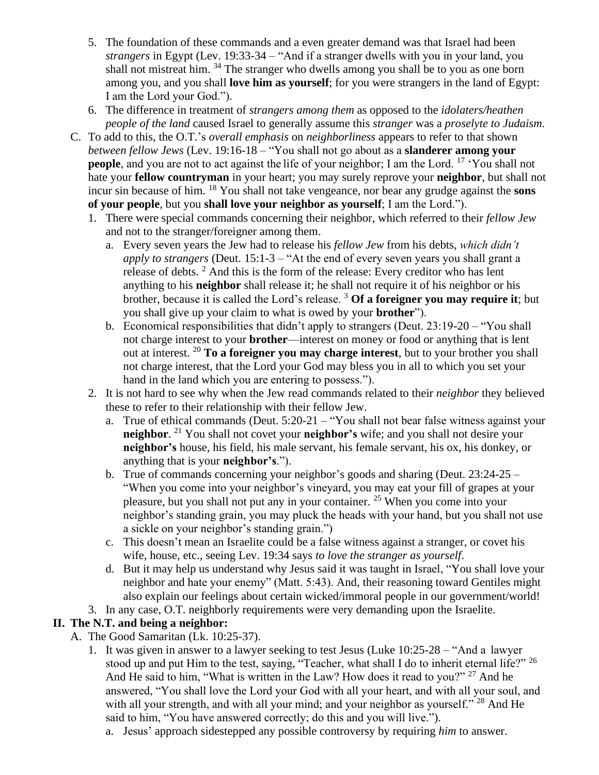- 5. The foundation of these commands and a even greater demand was that Israel had been *strangers* in Egypt (Lev. 19:33-34 – "And if a stranger dwells with you in your land, you shall not mistreat him.  $34$  The stranger who dwells among you shall be to you as one born among you, and you shall **love him as yourself**; for you were strangers in the land of Egypt: I am the Lord your God.").
- 6. The difference in treatment of *strangers among them* as opposed to the *idolaters/heathen people of the land* caused Israel to generally assume this *stranger* was a *proselyte to Judaism*.
- C. To add to this, the O.T.'s *overall emphasis* on *neighborliness* appears to refer to that shown *between fellow Jews* (Lev. 19:16-18 – "You shall not go about as a **slanderer among your people**, and you are not to act against the life of your neighbor; I am the Lord. <sup>17</sup> 'You shall not hate your **fellow countryman** in your heart; you may surely reprove your **neighbor**, but shall not incur sin because of him. <sup>18</sup> You shall not take vengeance, nor bear any grudge against the **sons of your people**, but you **shall love your neighbor as yourself**; I am the Lord.").
	- 1. There were special commands concerning their neighbor, which referred to their *fellow Jew* and not to the stranger/foreigner among them.
		- a. Every seven years the Jew had to release his *fellow Jew* from his debts, *which didn't apply to strangers* (Deut. 15:1-3 – "At the end of every seven years you shall grant a release of debts. <sup>2</sup> And this is the form of the release: Every creditor who has lent anything to his **neighbor** shall release it; he shall not require it of his neighbor or his brother, because it is called the Lord's release. <sup>3</sup> **Of a foreigner you may require it**; but you shall give up your claim to what is owed by your **brother**").
		- b. Economical responsibilities that didn't apply to strangers (Deut. 23:19-20 "You shall not charge interest to your **brother**—interest on money or food or anything that is lent out at interest. <sup>20</sup> **To a foreigner you may charge interest**, but to your brother you shall not charge interest, that the Lord your God may bless you in all to which you set your hand in the land which you are entering to possess.").
	- 2. It is not hard to see why when the Jew read commands related to their *neighbor* they believed these to refer to their relationship with their fellow Jew.
		- a. True of ethical commands (Deut. 5:20-21 "You shall not bear false witness against your **neighbor**. <sup>21</sup> You shall not covet your **neighbor's** wife; and you shall not desire your **neighbor's** house, his field, his male servant, his female servant, his ox, his donkey, or anything that is your **neighbor's**.").
		- b. True of commands concerning your neighbor's goods and sharing (Deut. 23:24-25 "When you come into your neighbor's vineyard, you may eat your fill of grapes at your pleasure, but you shall not put any in your container. <sup>25</sup> When you come into your neighbor's standing grain, you may pluck the heads with your hand, but you shall not use a sickle on your neighbor's standing grain.")
		- c. This doesn't mean an Israelite could be a false witness against a stranger, or covet his wife, house, etc., seeing Lev. 19:34 says *to love the stranger as yourself*.
		- d. But it may help us understand why Jesus said it was taught in Israel, "You shall love your neighbor and hate your enemy" (Matt. 5:43). And, their reasoning toward Gentiles might also explain our feelings about certain wicked/immoral people in our government/world!
	- 3. In any case, O.T. neighborly requirements were very demanding upon the Israelite.

# **II. The N.T. and being a neighbor:**

- A. The Good Samaritan (Lk. 10:25-37).
	- 1. It was given in answer to a lawyer seeking to test Jesus (Luke  $10:25-28$  "And a lawyer stood up and put Him to the test, saying, "Teacher, what shall I do to inherit eternal life?"  $^{26}$ And He said to him, "What is written in the Law? How does it read to you?" <sup>27</sup> And he answered, "You shall love the Lord your God with all your heart, and with all your soul, and with all your strength, and with all your mind; and your neighbor as yourself." <sup>28</sup> And He said to him, "You have answered correctly; do this and you will live.").
		- a. Jesus' approach sidestepped any possible controversy by requiring *him* to answer.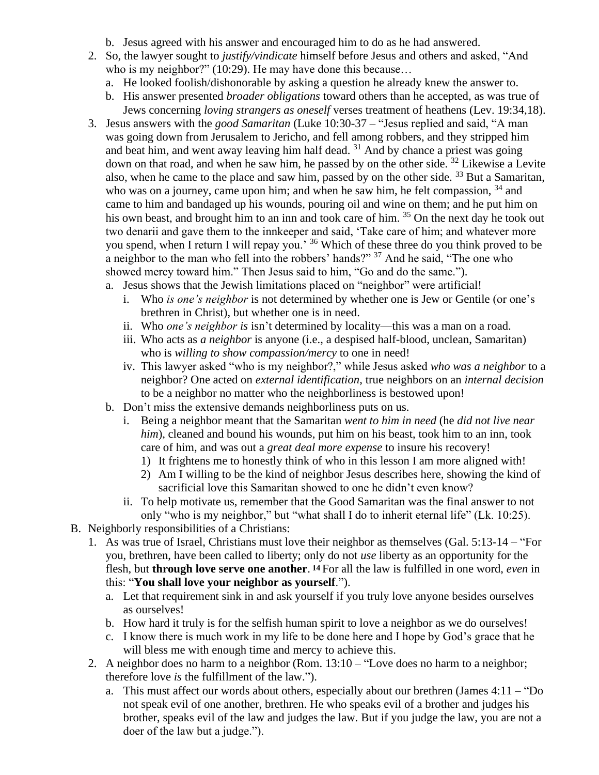- b. Jesus agreed with his answer and encouraged him to do as he had answered.
- 2. So, the lawyer sought to *justify/vindicate* himself before Jesus and others and asked, "And who is my neighbor?" (10:29). He may have done this because...
	- a. He looked foolish/dishonorable by asking a question he already knew the answer to.
	- b. His answer presented *broader obligations* toward others than he accepted, as was true of Jews concerning *loving strangers as oneself* verses treatment of heathens (Lev. 19:34,18).
- 3. Jesus answers with the *good Samaritan* (Luke 10:30-37 "Jesus replied and said, "A man was going down from Jerusalem to Jericho, and fell among robbers, and they stripped him and beat him, and went away leaving him half dead. <sup>31</sup> And by chance a priest was going down on that road, and when he saw him, he passed by on the other side. <sup>32</sup> Likewise a Levite also, when he came to the place and saw him, passed by on the other side. <sup>33</sup> But a Samaritan, who was on a journey, came upon him; and when he saw him, he felt compassion,  $34$  and came to him and bandaged up his wounds, pouring oil and wine on them; and he put him on his own beast, and brought him to an inn and took care of him. <sup>35</sup> On the next day he took out two denarii and gave them to the innkeeper and said, 'Take care of him; and whatever more you spend, when I return I will repay you.' <sup>36</sup> Which of these three do you think proved to be a neighbor to the man who fell into the robbers' hands?" <sup>37</sup> And he said, "The one who showed mercy toward him." Then Jesus said to him, "Go and do the same.").
	- a. Jesus shows that the Jewish limitations placed on "neighbor" were artificial!
		- i. Who *is one's neighbor* is not determined by whether one is Jew or Gentile (or one's brethren in Christ), but whether one is in need.
		- ii. Who *one's neighbor is* isn't determined by locality—this was a man on a road.
		- iii. Who acts as *a neighbor* is anyone (i.e., a despised half-blood, unclean, Samaritan) who is *willing to show compassion/mercy* to one in need!
		- iv. This lawyer asked "who is my neighbor?," while Jesus asked *who was a neighbor* to a neighbor? One acted on *external identification*, true neighbors on an *internal decision* to be a neighbor no matter who the neighborliness is bestowed upon!
	- b. Don't miss the extensive demands neighborliness puts on us.
		- i. Being a neighbor meant that the Samaritan *went to him in need* (he *did not live near him*), cleaned and bound his wounds, put him on his beast, took him to an inn, took care of him, and was out a *great deal more expense* to insure his recovery!
			- 1) It frightens me to honestly think of who in this lesson I am more aligned with!
			- 2) Am I willing to be the kind of neighbor Jesus describes here, showing the kind of sacrificial love this Samaritan showed to one he didn't even know?
		- ii. To help motivate us, remember that the Good Samaritan was the final answer to not only "who is my neighbor," but "what shall I do to inherit eternal life" (Lk. 10:25).
- B. Neighborly responsibilities of a Christians:
	- 1. As was true of Israel, Christians must love their neighbor as themselves (Gal. 5:13-14 "For you, brethren, have been called to liberty; only do not *use* liberty as an opportunity for the flesh, but **through love serve one another**. **<sup>14</sup>**For all the law is fulfilled in one word, *even* in this: "**You shall love your neighbor as yourself**.").
		- a. Let that requirement sink in and ask yourself if you truly love anyone besides ourselves as ourselves!
		- b. How hard it truly is for the selfish human spirit to love a neighbor as we do ourselves!
		- c. I know there is much work in my life to be done here and I hope by God's grace that he will bless me with enough time and mercy to achieve this.
	- 2. A neighbor does no harm to a neighbor (Rom. 13:10 "Love does no harm to a neighbor; therefore love *is* the fulfillment of the law.").
		- a. This must affect our words about others, especially about our brethren (James 4:11 "Do not speak evil of one another, brethren. He who speaks evil of a brother and judges his brother, speaks evil of the law and judges the law. But if you judge the law, you are not a doer of the law but a judge.").